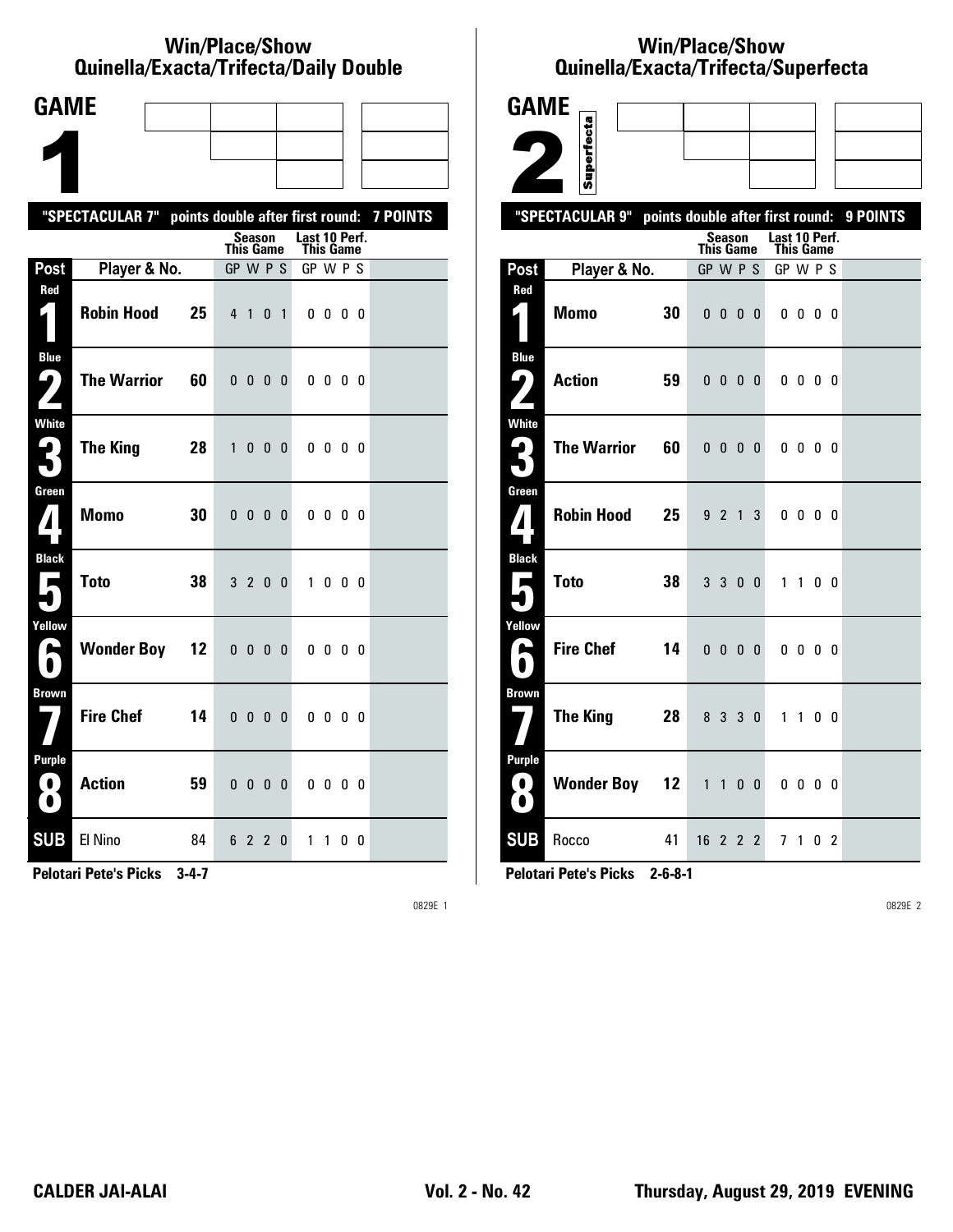#### **Win/Place/Show Qui nel la/Exacta/Tri fecta/Daily Dou ble**

| <b>GAME</b>                                     |                                                           |                 |                  |                          |                |                |                            |              |   |     |  |
|-------------------------------------------------|-----------------------------------------------------------|-----------------|------------------|--------------------------|----------------|----------------|----------------------------|--------------|---|-----|--|
|                                                 |                                                           |                 |                  |                          |                |                |                            |              |   |     |  |
|                                                 |                                                           |                 |                  |                          |                |                |                            |              |   |     |  |
|                                                 | "SPECTACULAR 7" points double after first round: 7 POINTS |                 |                  |                          |                |                |                            |              |   |     |  |
|                                                 |                                                           |                 | <b>This Game</b> | Season                   |                |                | Last 10 Perf.<br>This Game |              |   |     |  |
| Post                                            | Player & No.                                              |                 | GP W P S         |                          |                |                | GP W P S                   |              |   |     |  |
| Red<br>$\vert \vert$                            | <b>Robin Hood</b>                                         | 25              | 4 <sub>1</sub>   |                          | 0              | $\overline{1}$ |                            | $0\,0\,0\,0$ |   |     |  |
| <b>Blue</b><br>5<br>$\overline{\phantom{a}}$    | <b>The Warrior</b>                                        | 60              | 0 <sub>0</sub>   |                          | 0 <sub>0</sub> |                |                            | 0000         |   |     |  |
| White<br>3                                      | <b>The King</b>                                           | 28              | $\mathbf{1}$     | 0                        | - 0            | - 0            |                            | 0000         |   |     |  |
| Green<br>$\mathbf{Z}$                           | <b>Momo</b>                                               | 30              |                  | $0\quad 0\quad 0\quad 0$ |                |                |                            | 0000         |   |     |  |
| <b>Black</b><br>$\blacksquare$                  | <b>Toto</b>                                               | 38              |                  | 3 2 0 0                  |                |                |                            | 1000         |   |     |  |
| Yellow<br>A                                     | <b>Wonder Boy</b>                                         | 12 <sup>2</sup> | 0 <sub>0</sub>   |                          | 0 <sub>0</sub> |                |                            | $0\,0\,0\,0$ |   |     |  |
| <b>Brown</b>                                    | <b>Fire Chef</b>                                          | 14              | 0 <sub>0</sub>   |                          | 0              | 0              |                            | 0000         |   |     |  |
| <b>Purple</b><br>$\mathbf{O}$<br>$\blacksquare$ | <b>Action</b>                                             | 59              |                  | $0\quad 0\quad 0\quad 0$ |                |                |                            | 0000         |   |     |  |
| <b>SUB</b>                                      | El Nino                                                   | 84              |                  | 6 2 2                    |                | 0              | $\mathbf{1}$               | $\mathbf{1}$ | 0 | - 0 |  |

**Pelotari Pete's Picks 3-4-7**

0829E 1

## **Win/Place/Show Qui nel la/Exacta/Tri fecta/Super fecta**

| <b>GAME</b>                     |                    |    |                                  |                          |                |                |                            |                         |                |          |
|---------------------------------|--------------------|----|----------------------------------|--------------------------|----------------|----------------|----------------------------|-------------------------|----------------|----------|
|                                 |                    |    |                                  |                          |                |                |                            |                         |                |          |
|                                 | Superfecta         |    |                                  |                          |                |                |                            |                         |                |          |
|                                 | "SPECTACULAR 9"    |    | points double after first round: |                          |                |                |                            |                         |                | 9 POINTS |
|                                 |                    |    | <b>This Game</b>                 | <b>Season</b>            |                |                | Last 10 Perf.<br>This Game |                         |                |          |
| Post                            | Player & No.       |    | GP W P S                         |                          |                |                | GP W P S                   |                         |                |          |
| Red<br>$\mathbf{z}$ 1           | <b>Momo</b>        | 30 |                                  | $0\ 0\ 0\ 0$             |                |                |                            | $0\,0\,0\,0$            |                |          |
|                                 |                    |    |                                  |                          |                |                |                            |                         |                |          |
| <b>Blue</b><br>ر ما             | <b>Action</b>      | 59 |                                  | $0\quad 0\quad 0\quad 0$ |                |                |                            | $0\,0\,0\,0$            |                |          |
|                                 |                    |    |                                  |                          |                |                |                            |                         |                |          |
| <b>White</b><br>4               | <b>The Warrior</b> | 60 |                                  | $0\quad 0\quad 0\quad 0$ |                |                |                            | $0\,$ $0\,$ $0\,$ $0\,$ |                |          |
|                                 |                    |    |                                  |                          |                |                |                            |                         |                |          |
| Green                           | <b>Robin Hood</b>  | 25 |                                  | 9 2 1                    |                | 3              |                            | $0\,0\,0\,0$            |                |          |
| $\boldsymbol{I}$                |                    |    |                                  |                          |                |                |                            |                         |                |          |
| <b>Black</b><br>Е               | <b>Toto</b>        | 38 |                                  | 3 <sup>3</sup>           | 0 <sub>0</sub> |                | 1                          | $\mathbf{1}$            | 0 <sub>0</sub> |          |
|                                 |                    |    |                                  |                          |                |                |                            |                         |                |          |
| Yellow<br>$\blacktriangleright$ | <b>Fire Chef</b>   | 14 |                                  |                          |                |                |                            |                         |                |          |
|                                 |                    |    |                                  | 0000                     |                |                |                            | $0\ 0\ 0\ 0$            |                |          |
| Brown                           |                    |    |                                  |                          |                |                |                            |                         |                |          |
|                                 | <b>The King</b>    | 28 |                                  | 8 3 3 0                  |                |                |                            | 1 1 0 0                 |                |          |
| <b>Purple</b>                   |                    |    |                                  |                          |                |                |                            |                         |                |          |
| 0.<br>O.                        | <b>Wonder Boy</b>  | 12 | $\mathbf{1}$                     | $\mathbf{1}$             | 0              | - 0            |                            | $0\,$ $0\,$ $0\,$ $0\,$ |                |          |
| <b>SUB</b>                      | Rocco              | 41 | 1622                             |                          |                | $\overline{2}$ |                            | 7 1 0 2                 |                |          |

**Pelotari Pete's Picks 2-6-8-1**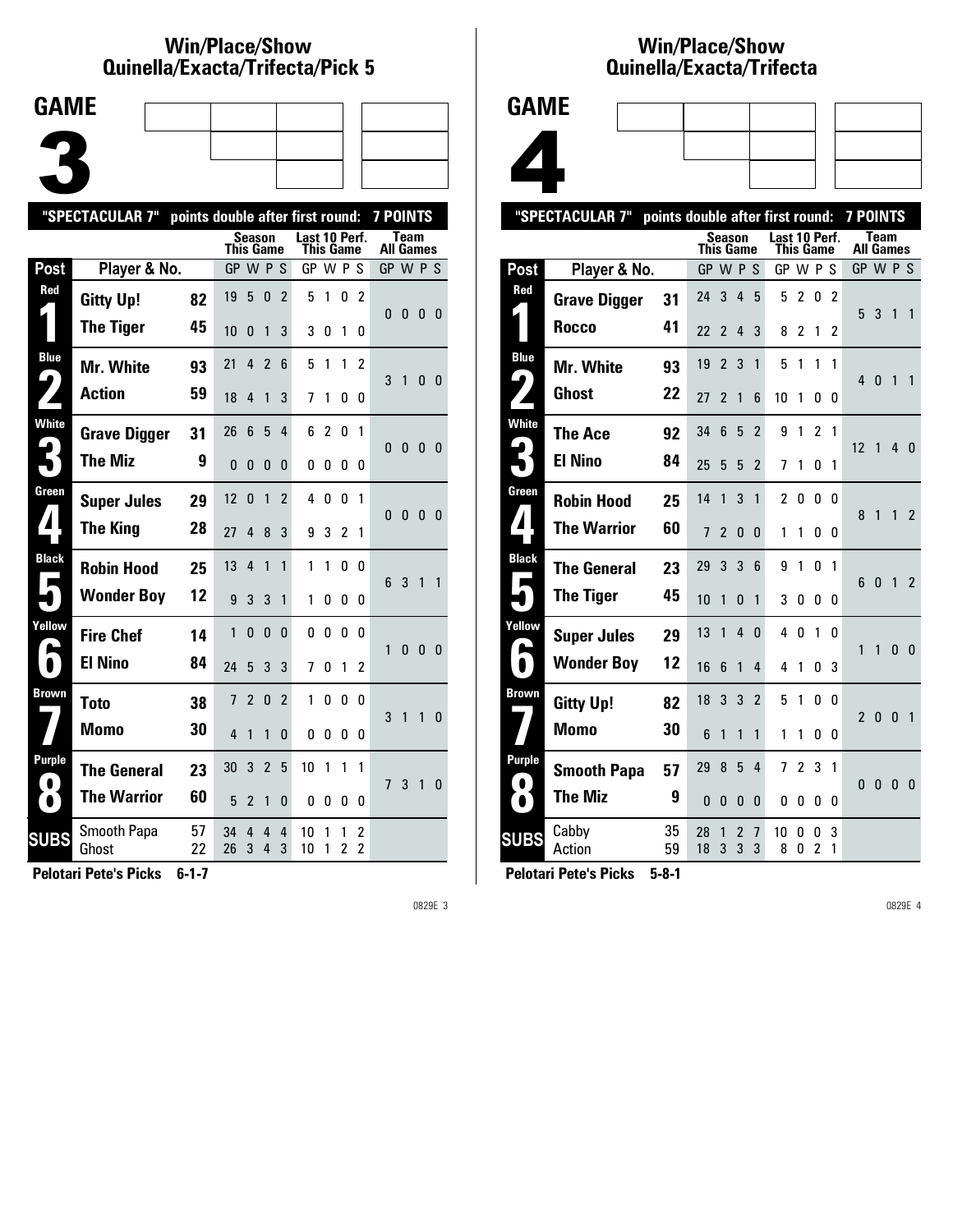#### **Win/Place/Show Qui nel la/Exacta/Tri fecta/Pick 5**



|                     | "SPECTACULAR 7"      |          | points double after first round: |                |                |                |                            |                |                     |                                  | <b>7 POINTS</b> |              |                |              |
|---------------------|----------------------|----------|----------------------------------|----------------|----------------|----------------|----------------------------|----------------|---------------------|----------------------------------|-----------------|--------------|----------------|--------------|
|                     |                      |          | This Game                        | Season         |                |                | Last 10 Perf.<br>This Game |                |                     |                                  | All Games       | <b>Team</b>  |                |              |
| Post                | Player & No.         |          | GP W P                           |                |                | S              | GP W P S                   |                |                     |                                  | GP W P S        |              |                |              |
| Red                 | <b>Gitty Up!</b>     | 82       | 19                               | 5              | 0              | 2              | 5                          | 1              | 0                   | 2                                | 0               | 0            | 0 <sub>0</sub> |              |
|                     | <b>The Tiger</b>     | 45       | 10                               | 0              | 1              | 3              | 3                          | 0              | 1                   | 0                                |                 |              |                |              |
| <b>Blue</b><br>9    | <b>Mr. White</b>     | 93       | 21                               | 4              | $\overline{2}$ | 6              | 5                          | 1              | 1                   | 2                                | 3               | 1            | 0              | - 0          |
|                     | <b>Action</b>        | 59       | 18                               | 4              | 1              | 3              | 7                          | 1              | 0                   | 0                                |                 |              |                |              |
| <b>White</b>        | <b>Grave Digger</b>  | 31       | 26                               | 6              | 5              | 4              | 6                          | $\overline{2}$ | 0                   | 1                                | 0               | $\mathbf{0}$ | 0 <sub>0</sub> |              |
|                     | <b>The Miz</b>       | 9        | $\mathbf{0}$                     | 0              | 0              | 0              | 0                          | 0              | 0                   | 0                                |                 |              |                |              |
| Green               | <b>Super Jules</b>   | 29       | 12                               | $\Omega$       | 1              | $\overline{2}$ | 4                          | 0              | 0                   | 1                                | $\Omega$        | 0            | $\mathbf{0}$   | - 0          |
|                     | <b>The King</b>      | 28       | 27                               | 4              | 8              | 3              | 9                          | 3              | 2                   | 1                                |                 |              |                |              |
| <b>Black</b>        | <b>Robin Hood</b>    | 25       | 13                               | 4              | 1              | 1              | 1                          | 1              | 0                   | 0                                | 6               | 3            | $\mathbf{1}$   | $\mathbf{1}$ |
|                     | <b>Wonder Boy</b>    | 12       | 9                                | 3              | 3              | 1              | 1                          | O              | 0                   | 0                                |                 |              |                |              |
| Yellow              | <b>Fire Chef</b>     | 14       | 1                                | 0              | 0              | 0              | 0                          | 0              | 0                   | 0                                | 1               | $\Omega$     | $\mathbf{0}$   | - 0          |
| $\blacksquare$      | <b>El Nino</b>       | 84       | 24                               | 5              | 3              | 3              | 7                          | O              | 1                   | 2                                |                 |              |                |              |
| <b>Brown</b>        | <b>Toto</b>          | 38       | 7                                | $\overline{2}$ | 0              | $\overline{2}$ | 1                          | 0              | 0                   | 0                                | 3               | 1            | 1              | 0            |
|                     | Momo                 | 30       | 4                                | 1              | 1              | 0              | 0                          | 0              | 0                   | 0                                |                 |              |                |              |
| Purple<br>$\bullet$ | <b>The General</b>   | 23       | 30                               | 3              | $\overline{2}$ | 5              | 10                         | 1              | 1                   | 1                                | 7 <sup>1</sup>  | 3            | 1              | - 0          |
| $\bullet$           | <b>The Warrior</b>   | 60       | 5                                | 2              | 1              | 0              | 0                          | 0              | 0                   | 0                                |                 |              |                |              |
| <b>SUBS</b>         | Smooth Papa<br>Ghost | 57<br>22 | 34<br>26                         | 4<br>3         | 4<br>4         | 4<br>3         | 10<br>10                   | 1<br>1         | 1<br>$\overline{c}$ | $\overline{c}$<br>$\overline{c}$ |                 |              |                |              |
|                     |                      |          |                                  |                |                |                |                            |                |                     |                                  |                 |              |                |              |

**Pelotari Pete's Picks 6-1-7**

0829E 3

# **Win/Place/Show Qui nel la/Exacta/Tri fecta**



| "SPECTACULAR 7"<br>points double after first round: |                     |          |              |                |                |                |                |        |                | <b>7 POINTS</b> |                |                   |              |                |
|-----------------------------------------------------|---------------------|----------|--------------|----------------|----------------|----------------|----------------|--------|----------------|-----------------|----------------|-------------------|--------------|----------------|
|                                                     |                     |          | This Game    | Season         |                |                | Last 10 Perf.  |        | This Game      |                 |                | Team<br>All Games |              |                |
| Post                                                | Player & No.        |          | GP W P S     |                |                |                | GP W P S       |        |                |                 | GP W P S       |                   |              |                |
| Red                                                 | <b>Grave Digger</b> | 31       | 24           | 3              | $\overline{4}$ | 5              | 5              | 2      | 0              | 2               |                |                   |              |                |
|                                                     | Rocco               | 41       | 22           | $\overline{2}$ | 4              | 3              | 8              | 2      | 1              | 2               | 5              | 3                 | 1            | $\overline{1}$ |
| <b>Blue</b>                                         | <b>Mr. White</b>    | 93       | 19           | $\overline{c}$ | 3              | 1              | 5              | 1      | 1              | 1               |                |                   |              |                |
| $\blacklozenge$                                     | Ghost               | 22       | 27           | $\overline{2}$ | 1              | 6              | 10             | 1      | 0              | 0               | 4              | $\mathbf{0}$      | 1            | $\mathbf{1}$   |
| <b>White</b>                                        | The Ace             | 92       | 34           | 6              | 5              | $\overline{2}$ | 9              | 1      | $\overline{2}$ | 1               |                |                   |              |                |
|                                                     | <b>El Nino</b>      | 84       | 25           | 5              | 5              | $\overline{2}$ | 7              | 1      | 0              | 1               | 12             | 1                 | 4            | - 0            |
| Green                                               | <b>Robin Hood</b>   | 25       | 14           | 1              | 3              | 1              | $\overline{c}$ | 0      | 0              | 0               |                | 1                 | 1            |                |
| $\mathbf{1}$                                        | <b>The Warrior</b>  | 60       | 7            | $\mathfrak z$  | 0              | 0              | 1              | 1      | 0              | 0               | 8              |                   |              | $\overline{2}$ |
| <b>Black</b>                                        | <b>The General</b>  | 23       | 29           | 3              | 3              | 6              | 9              | 1      | 0              | 1               |                |                   |              |                |
| Е                                                   | <b>The Tiger</b>    | 45       | 10           | 1              | <sup>0</sup>   | 1              | 3              | 0      | 0              | 0               | 6              | $\mathbf{0}$      | 1            | $\overline{2}$ |
| Yellow                                              | <b>Super Jules</b>  | 29       | 13           | 1              | 4              | 0              | 4              | 0      | 1              | 0               |                |                   |              |                |
| <b>A</b><br>$\bullet$                               | <b>Wonder Boy</b>   | 12       | 16           | 6              | 1              | 4              | 4              | 1      | 0              | 3               | 1              | $\mathbf{1}$      | 0            | 0              |
| <b>Brown</b>                                        | <b>Gitty Up!</b>    | 82       | 18           | 3              | 3              | $\overline{2}$ | 5              | 1      | 0              | 0               |                |                   |              |                |
|                                                     | <b>Momo</b>         | 30       | 6            | 1              | 1              | 1              | 1              | 1      | 0              | 0               | $\mathfrak{p}$ | $\mathbf{0}$      | $\mathbf{0}$ | $\overline{1}$ |
| Purple                                              | <b>Smooth Papa</b>  | 57       | 29           | 8              | 5              | 4              | 7              | 2      | 3              | 1               |                |                   |              |                |
| $\bullet$<br>$\bullet$                              | <b>The Miz</b>      | 9        | $\mathbf{0}$ | 0              | 0              | 0              | 0              | 0      | 0              | 0               | $\mathbf{0}$   | 0                 | 0            | 0              |
| <b>SUBS</b>                                         | Cabby<br>Action     | 35<br>59 | 28<br>18     | 1<br>3         | 2<br>3         | 7<br>3         | 10<br>8        | 0<br>0 | 0<br>2         | 3<br>1          |                |                   |              |                |
|                                                     |                     |          |              |                |                |                |                |        |                |                 |                |                   |              |                |

**Pelotari Pete's Picks 5-8-1**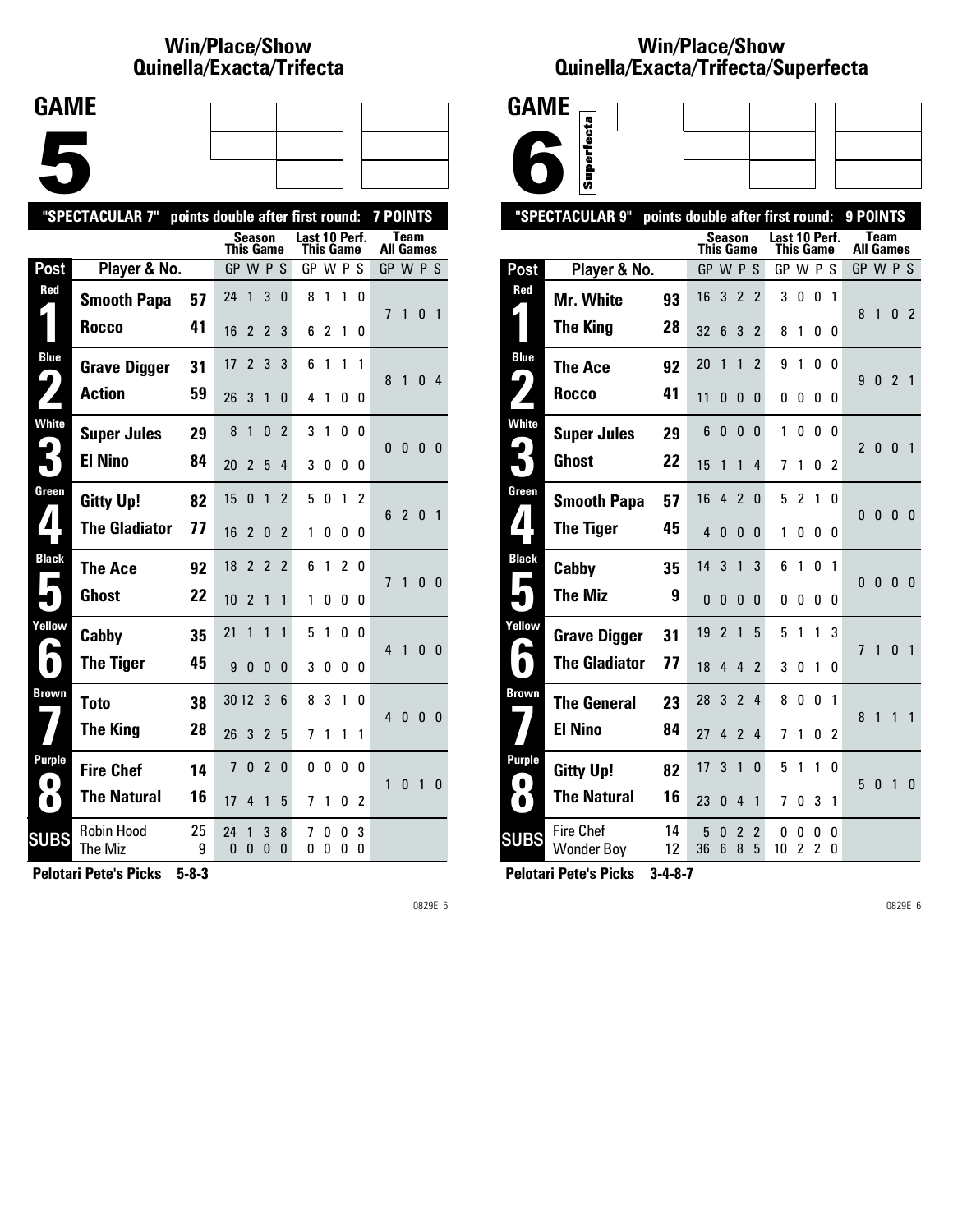## **Win/Place/Show Qui nel la/Exacta/Tri fecta**



|                     | "SPECTACULAR 7"<br>points double after first round: |         |                |                |                |                |                            |        |               | <b>7 POINTS</b> |                  |                |              |                |
|---------------------|-----------------------------------------------------|---------|----------------|----------------|----------------|----------------|----------------------------|--------|---------------|-----------------|------------------|----------------|--------------|----------------|
|                     |                                                     |         | This Game      | Season         |                |                | Last 10 Perf.<br>This Game |        |               |                 | <b>All Games</b> | Team           |              |                |
| Post                | Player & No.                                        |         | GP W P S       |                |                |                | GP W P                     |        |               | S               | GP W P S         |                |              |                |
| Red                 | <b>Smooth Papa</b>                                  | 57      | 24             | 1              | 3              | $\Omega$       | 8                          | 1      | 1             | 0               | 7                | $\mathbf{1}$   | $\mathbf{0}$ | $\mathbf{1}$   |
|                     | Rocco                                               | 41      | 16             | $\mathfrak{p}$ | $\overline{2}$ | 3              | 6                          | 2      | 1             | 0               |                  |                |              |                |
| <b>Blue</b><br>9    | <b>Grave Digger</b>                                 | 31      | 17             | $\overline{2}$ | 3              | 3              | 6                          | 1      | 1             | 1               | 8                | 1              | 0            | 4              |
|                     | <b>Action</b>                                       | 59      | 26             | 3              | $\mathbf{1}$   | $\Omega$       | 4                          | 1      | 0             | 0               |                  |                |              |                |
| <b>White</b>        | <b>Super Jules</b>                                  | 29      | 8              | 1              | 0              | $\mathfrak{p}$ | 3                          | 1      | 0             | U               | $\Omega$         | $\mathbf{0}$   | $\mathbf{0}$ | $\Omega$       |
|                     | <b>El Nino</b>                                      | 84      | 20             | $\overline{2}$ | 5              | 4              | 3                          | 0      | 0             | 0               |                  |                |              |                |
| Green               | <b>Gitty Up!</b>                                    | 82      | 15             | 0              | 1              | 2              | 5                          | 0      | 1             | $\mathfrak z$   | 6                | $\overline{2}$ | $\mathbf{0}$ | $\overline{1}$ |
| $\blacktriangle$    | <b>The Gladiator</b>                                | 77      | 16             | $\overline{2}$ | $\mathbf{0}$   | $\mathfrak z$  | 1                          | 0      | 0             | 0               |                  |                |              |                |
| <b>Black</b>        | <b>The Ace</b>                                      | 92      | 18             | $\overline{2}$ | $\overline{2}$ | $\mathfrak{p}$ | 6                          | 1      | $\mathfrak z$ | 0               | $\overline{1}$   | $\mathbf{1}$   | 0            | 0              |
|                     | <b>Ghost</b>                                        | 22      | 10             | $\overline{2}$ | $\mathbf{1}$   | 1              | 1                          | 0      | 0             | 0               |                  |                |              |                |
| Yellow              | Cabby                                               | 35      | 21             | 1              | 1              | 1              | 5                          | 1      | 0             | 0               | $\overline{4}$   | $\overline{1}$ | $\mathbf{0}$ | $\mathbf{0}$   |
| L                   | <b>The Tiger</b>                                    | 45      | 9              | 0              | $\mathbf{0}$   | $\Omega$       | 3                          | 0      | 0             | 0               |                  |                |              |                |
| Brown               | <b>Toto</b>                                         | 38      | 30 12          |                | 3              | 6              | 8                          | 3      | 1             | 0               | $\overline{4}$   | $\mathbf{0}$   | $\mathbf{0}$ | 0              |
|                     | <b>The King</b>                                     | 28      | 26             | 3              | $\overline{2}$ | 5              | 7                          | 1      | 1             | 1               |                  |                |              |                |
| Purple<br>$\bullet$ | <b>Fire Chef</b>                                    | 14      | $\overline{7}$ | $\mathbf{0}$   | $\overline{2}$ | 0              | 0                          | 0      | 0             | 0               | 1                | $\mathbf{0}$   | $\mathbf{1}$ | 0              |
| $\bullet$           | <b>The Natural</b>                                  | 16      | 17             | 4              | $\mathbf{1}$   | 5              | 7                          | 1      | 0             | $\overline{2}$  |                  |                |              |                |
| <b>SUBS</b>         | <b>Robin Hood</b><br>The Miz                        | 25<br>9 | 24<br>0        | 1<br>$\Omega$  | 3<br>$\Omega$  | 8<br>$\Omega$  | 7<br>0                     | 0<br>0 | 0<br>0        | 3<br>0          |                  |                |              |                |
|                     |                                                     |         |                |                |                |                |                            |        |               |                 |                  |                |              |                |

**Pelotari Pete's Picks 5-8-3**

0829E 5

### **Win/Place/Show Qui nel la/Exacta/Tri fecta/Super fecta**



|                            | "SPECTACULAR 9"                       | points double after first round: |           |                |                          |                |               |                     |                     |                | 9 POINTS         |              |                |                |
|----------------------------|---------------------------------------|----------------------------------|-----------|----------------|--------------------------|----------------|---------------|---------------------|---------------------|----------------|------------------|--------------|----------------|----------------|
|                            |                                       |                                  | This Game | <b>Season</b>  |                          |                | Last 10 Perf. | This Game           |                     |                | <b>All Games</b> | Team         |                |                |
| Post                       | Player & No.                          |                                  | GP W P S  |                |                          |                | GP W P S      |                     |                     |                | GP W P S         |              |                |                |
| Red                        | <b>Mr. White</b>                      | 93                               | 16        | 3              | $\overline{2}$           | $\overline{2}$ | 3             | 0                   | 0                   | 1              |                  |              |                |                |
|                            | <b>The King</b>                       | 28                               | 32        | 6              | 3                        | $\overline{2}$ | 8             | 1                   | 0                   | 0              | 8                | 1            | $\mathbf{0}$   | $\overline{2}$ |
| <b>Blue</b>                | <b>The Ace</b>                        | 92                               | 20        | 1              | 1                        | $\overline{2}$ | 9             | 1                   | 0                   | 0              |                  |              |                |                |
| $\blacklozenge$            | <b>Rocco</b>                          | 41                               | 11        | 0              | 0                        | 0              | 0             | 0                   | 0                   | 0              | 9                | 0            | $\overline{2}$ | $\overline{1}$ |
| <b>White</b>               | <b>Super Jules</b>                    | 29                               | 6         | 0              | 0                        | 0              | 1             | 0                   | 0                   | 0              | $\overline{2}$   | 0            | $\mathbf{0}$   | $\overline{1}$ |
|                            | <b>Ghost</b>                          | 22                               | 15        | 1              | 1                        | 4              | 7             | 1                   | 0                   | $\mathcal{P}$  |                  |              |                |                |
| Green                      | <b>Smooth Papa</b>                    | 57                               | 16        | 4              | $\overline{\phantom{a}}$ | 0              | 5             | $\overline{2}$      | 1                   | 0              | $\mathbf{0}$     | $\mathbf{0}$ | $\mathbf{0}$   | $\overline{0}$ |
| $\blacksquare$             | <b>The Tiger</b>                      | 45                               | 4         | 0              | 0                        | 0              | 1             | 0                   | 0                   | 0              |                  |              |                |                |
| <b>Black</b>               | Cabby                                 | 35                               | 14        | 3              | 1                        | 3              | 6             | 1                   | 0                   | 1              | 0                | $\bf{0}$     | $\bf{0}$       | 0              |
|                            | <b>The Miz</b>                        | 9                                | 0         | 0              | 0                        | 0              | 0             | 0                   | 0                   | 0              |                  |              |                |                |
| Yellow                     | <b>Grave Digger</b>                   | 31                               | 19        | $\overline{2}$ | 1                        | 5              | 5             | 1                   | 1                   | 3              | 7                | 1            | $\mathbf{0}$   | $\overline{1}$ |
|                            | <b>The Gladiator</b>                  | 77                               | 18        | 4              | 4                        | $\overline{2}$ | 3             | 0                   | 1                   | 0              |                  |              |                |                |
| Brown                      | <b>The General</b>                    | 23                               | 28        | 3              | $\overline{2}$           | 4              | 8             | 0                   | 0                   | 1              | 8                | $\mathbf{1}$ | 1              | 1              |
|                            | <b>El Nino</b>                        | 84                               | 27        | 4              | $\overline{2}$           | 4              | 7             | 1                   | 0                   | $\overline{2}$ |                  |              |                |                |
| <b>Purple</b><br>$\bullet$ | <b>Gitty Up!</b>                      | 82                               | 17        | 3              | 1                        | 0              | 5             | 1                   | 1                   | 0              | 5                | 0            | $\overline{1}$ | $\mathbf{0}$   |
| O                          | <b>The Natural</b>                    | 16                               | 23        | 0              | 4                        | 1              | 7             | 0                   | 3                   | 1              |                  |              |                |                |
| <b>SUBS</b>                | <b>Fire Chef</b><br><b>Wonder Boy</b> | 14<br>12                         | 5<br>36   | 0<br>6         | $\overline{2}$<br>8      | 2<br>5         | 0<br>10       | 0<br>$\overline{c}$ | 0<br>$\overline{c}$ | 0<br>0         |                  |              |                |                |
|                            |                                       |                                  |           |                |                          |                |               |                     |                     |                |                  |              |                |                |

**Pelotari Pete's Picks 3-4-8-7**